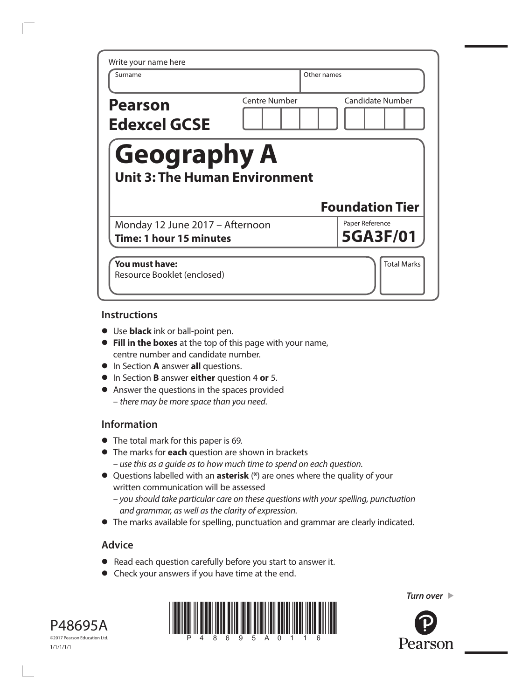| Write your name here<br>Surname                                   |                      | Other names                                                  |
|-------------------------------------------------------------------|----------------------|--------------------------------------------------------------|
| <b>Pearson</b><br><b>Edexcel GCSE</b>                             | <b>Centre Number</b> | <b>Candidate Number</b>                                      |
| <b>Geography A</b>                                                |                      |                                                              |
|                                                                   |                      |                                                              |
| <b>Unit 3: The Human Environment</b>                              |                      |                                                              |
| Monday 12 June 2017 - Afternoon<br><b>Time: 1 hour 15 minutes</b> |                      | <b>Foundation Tier</b><br>Paper Reference<br><b>5GA3F/01</b> |

### **Instructions**

- **•** Use **black** ink or ball-point pen.
- **• Fill in the boxes** at the top of this page with your name, centre number and candidate number.
- **•** In Section **A** answer **all** questions.
- **•** In Section **B** answer **either** question 4 **or** 5.
- **•** Answer the questions in the spaces provided – *there may be more space than you need*.

## **Information**

- **•** The total mark for this paper is 69.
- **•** The marks for **each** question are shown in brackets
	- *use this as a guide as to how much time to spend on each question.*
- **•** Questions labelled with an **asterisk** (**\***) are ones where the quality of your written communication will be assessed
	- *you should take particular care on these questions with your spelling, punctuation and grammar, as well as the clarity of expression.*
- **•** The marks available for spelling, punctuation and grammar are clearly indicated.

# **Advice**

- **•** Read each question carefully before you start to answer it.
- **•** Check your answers if you have time at the end.







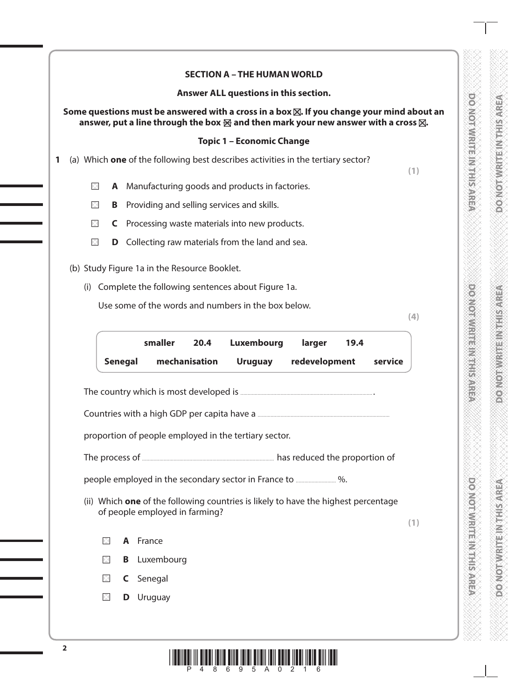### **SECTION A – THE HUMAN WORLD**

#### **Answer ALL questions in this section.**

Some questions must be answered with a cross in a box  $\boxtimes$ . If you change your mind about an answer, put a line through the box  $\boxtimes$  and then mark your new answer with a cross  $\boxtimes$ .

#### **Topic 1 – Economic Change**

**1** (a) Which **one** of the following best describes activities in the tertiary sector?

**(1)**

**DONOLINE TENERE SERVICE** 

**DOMORATION** SAMPLES

**DO NOT WRITE IN THIS AREA** 

- $\boxtimes$ **A** Manufacturing goods and products in factories.
- $\times$ **B** Providing and selling services and skills.
- $\times$ **C** Processing waste materials into new products.
- **D** Collecting raw materials from the land and sea.  $\times$
- (b) Study Figure 1a in the Resource Booklet.
	- (i) Complete the following sentences about Figure 1a.

Use some of the words and numbers in the box below.

**(4)**

|           |                | smaller          | 20.4                           | <b>Luxembourg</b>                                                                         | larger                | 19.4 |         |
|-----------|----------------|------------------|--------------------------------|-------------------------------------------------------------------------------------------|-----------------------|------|---------|
|           | <b>Senegal</b> | mechanisation    |                                |                                                                                           | Uruguay redevelopment |      | service |
|           |                |                  |                                |                                                                                           |                       |      |         |
|           |                |                  |                                |                                                                                           |                       |      |         |
|           |                |                  |                                | proportion of people employed in the tertiary sector.                                     |                       |      |         |
|           |                |                  |                                |                                                                                           |                       |      |         |
|           |                |                  |                                | people employed in the secondary sector in France to  %.                                  |                       |      |         |
|           |                |                  |                                | (ii) Which <b>one</b> of the following countries is likely to have the highest percentage |                       |      |         |
|           |                |                  | of people employed in farming? |                                                                                           |                       |      |         |
| $\times$  | A              | France           |                                |                                                                                           |                       |      |         |
| $\bowtie$ | B              | Luxembourg       |                                |                                                                                           |                       |      |         |
|           |                | <b>C</b> Senegal |                                |                                                                                           |                       |      |         |
| $\times$  |                |                  |                                |                                                                                           |                       |      |         |

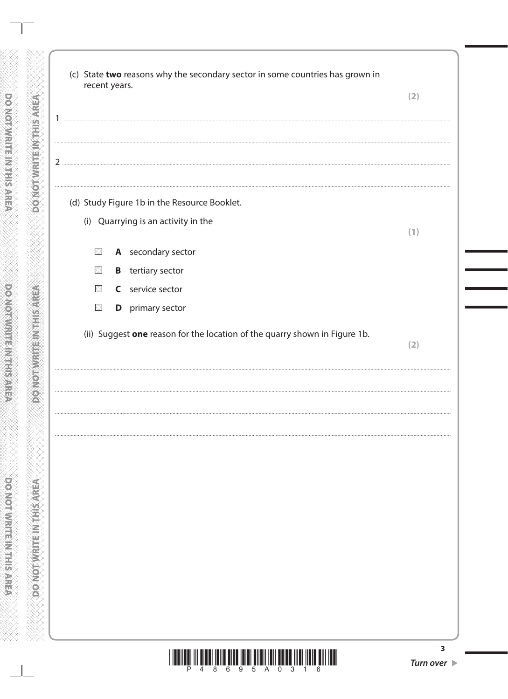| $1$         | recent years. |                                                                            | (2) |
|-------------|---------------|----------------------------------------------------------------------------|-----|
|             |               |                                                                            |     |
|             |               |                                                                            |     |
|             |               | (d) Study Figure 1b in the Resource Booklet.                               |     |
|             |               | (i) Quarrying is an activity in the                                        |     |
|             |               |                                                                            | (1) |
| $\times$    |               | A secondary sector                                                         |     |
| $\times$    |               | <b>B</b> tertiary sector                                                   |     |
| $\boxtimes$ |               | C service sector                                                           |     |
| $\times$    |               |                                                                            |     |
|             |               | <b>D</b> primary sector                                                    |     |
|             |               | (ii) Suggest one reason for the location of the quarry shown in Figure 1b. | (2) |
|             |               |                                                                            |     |
|             |               |                                                                            |     |
|             |               |                                                                            |     |
|             |               |                                                                            |     |
|             |               |                                                                            |     |
|             |               |                                                                            |     |
|             |               |                                                                            |     |
|             |               |                                                                            |     |
|             |               |                                                                            |     |
|             |               |                                                                            |     |

**DO NOT WRITE IN THIS AREA** 

**DO NOT WRITE INTHIS AREA** 

**OONOTWRITEINTHIS AREA** 



 $\overline{\mathbf{3}}$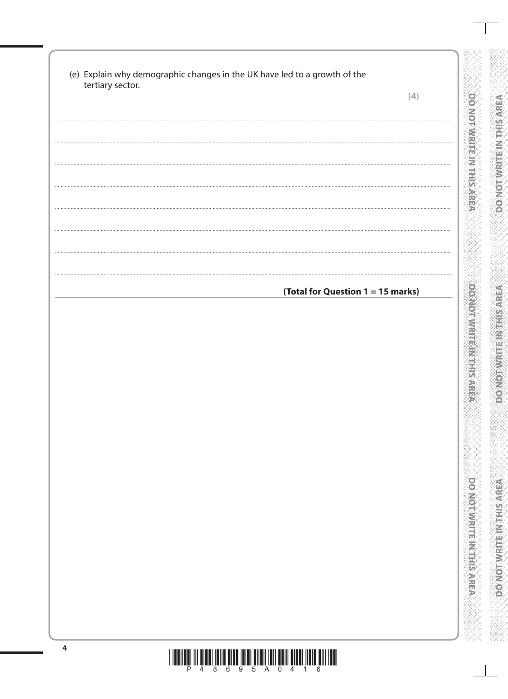| tertiary sector. | (4)                               |
|------------------|-----------------------------------|
|                  |                                   |
|                  |                                   |
|                  |                                   |
|                  |                                   |
|                  |                                   |
|                  |                                   |
|                  |                                   |
|                  |                                   |
|                  |                                   |
|                  |                                   |
|                  |                                   |
|                  |                                   |
|                  | (Total for Question 1 = 15 marks) |
|                  |                                   |
|                  |                                   |
|                  |                                   |
|                  |                                   |
|                  |                                   |
|                  |                                   |
|                  |                                   |
|                  |                                   |
|                  |                                   |
|                  |                                   |
|                  |                                   |
|                  |                                   |
|                  |                                   |
|                  |                                   |
|                  |                                   |
|                  |                                   |
|                  |                                   |
|                  |                                   |
|                  |                                   |
|                  |                                   |
|                  |                                   |
|                  |                                   |
|                  |                                   |

**SVSVIN**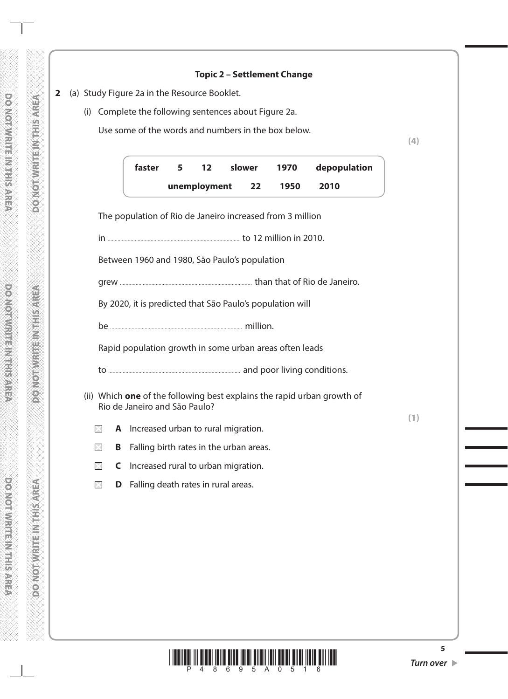- **2** (a) Study Figure 2a in the Resource Booklet.
	- (i) Complete the following sentences about Figure 2a.

Use some of the words and numbers in the box below.

**(4)** 

| faster | - 5 | 12           | slower |           | 1970 | depopulation |
|--------|-----|--------------|--------|-----------|------|--------------|
|        |     | unemployment |        | $\sim$ 22 | 1950 | 2010         |

The population of Rio de Janeiro increased from 3 million

in ............................................................................................ to 12 million in 2010.

Between 1960 and 1980, São Paulo's population

grew ............................................................................................ than that of Rio de Janeiro.

By 2020, it is predicted that São Paulo's population will

be ............................................................................................ million.

Rapid population growth in some urban areas often leads

to ............................................................................................ and poor living conditions.

- (ii) Which **one** of the following best explains the rapid urban growth of Rio de Janeiro and São Paulo?
	- **A** Increased urban to rural migration.  $\boxtimes$

**(1)**

- $\boxtimes$ **B** Falling birth rates in the urban areas.
- $\boxtimes$ **C** Increased rural to urban migration.
- $\boxtimes$ **D** Falling death rates in rural areas.



**5**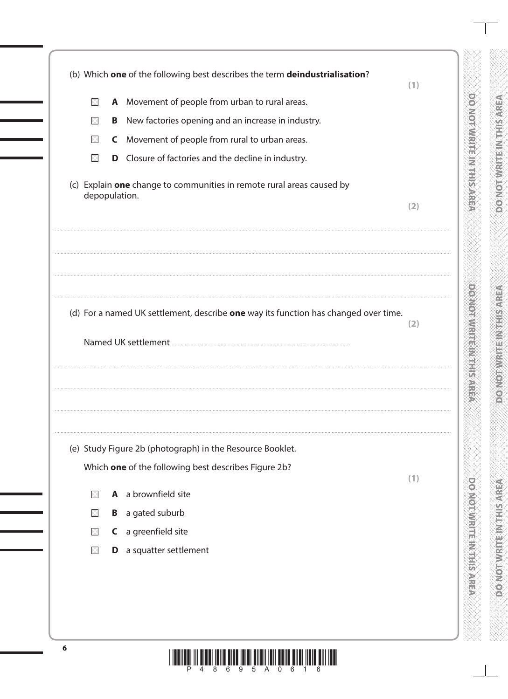|               |              |                                                                                     | (1) |
|---------------|--------------|-------------------------------------------------------------------------------------|-----|
| $\times$      |              | A Movement of people from urban to rural areas.                                     |     |
| $\times$      | B            | New factories opening and an increase in industry.                                  |     |
| $\times$      | C            | Movement of people from rural to urban areas.                                       |     |
| $\times$      |              | <b>D</b> Closure of factories and the decline in industry.                          |     |
| depopulation. |              | (c) Explain one change to communities in remote rural areas caused by               |     |
|               |              |                                                                                     | (2) |
|               |              |                                                                                     |     |
|               |              |                                                                                     |     |
|               |              |                                                                                     |     |
|               |              | (d) For a named UK settlement, describe one way its function has changed over time. | (2) |
|               |              |                                                                                     |     |
|               |              |                                                                                     |     |
|               |              |                                                                                     |     |
|               |              |                                                                                     |     |
|               |              | (e) Study Figure 2b (photograph) in the Resource Booklet.                           |     |
|               |              | Which one of the following best describes Figure 2b?                                |     |
| $\times$      | A            | a brownfield site                                                                   | (1) |
| $\times$      | Β            | a gated suburb                                                                      |     |
| $\times$      | $\mathsf{C}$ | a greenfield site                                                                   |     |
|               | D            | a squatter settlement                                                               |     |
| $\times$      |              |                                                                                     |     |
|               |              |                                                                                     |     |
|               |              |                                                                                     |     |

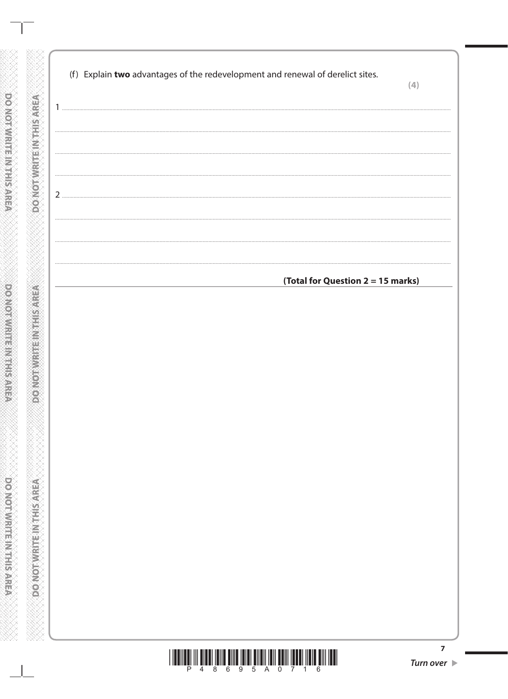(f) Explain two advantages of the redevelopment and renewal of derelict sites.  $(4)$ DO NOT WRITE IN THIS AREA  $\mathbf{1}$ .  $2.$ (Total for Question 2 = 15 marks) **DONOTWRITEINTHIS AREA DO NOT WRITE IN THIS AREA**  $\overline{7}$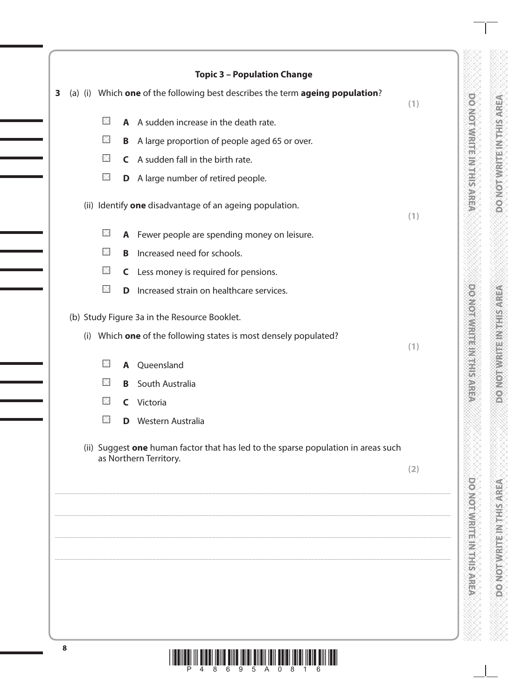|             |              | <b>Topic 3 - Population Change</b>                                                                          |     |
|-------------|--------------|-------------------------------------------------------------------------------------------------------------|-----|
|             |              | (a) (i) Which one of the following best describes the term ageing population?                               | (1) |
| $\times$    |              | A A sudden increase in the death rate.                                                                      |     |
| $\times$    | Β            | A large proportion of people aged 65 or over.                                                               |     |
| $\times$    | $\mathsf{C}$ | A sudden fall in the birth rate.                                                                            |     |
| $\times$    | D            | A large number of retired people.                                                                           |     |
|             |              | (ii) Identify one disadvantage of an ageing population.                                                     | (1) |
| $\times$    |              | A Fewer people are spending money on leisure.                                                               |     |
| $\boxtimes$ | B            | Increased need for schools.                                                                                 |     |
| $\times$    |              | C Less money is required for pensions.                                                                      |     |
| $\boxtimes$ | D            | Increased strain on healthcare services.                                                                    |     |
|             |              | (b) Study Figure 3a in the Resource Booklet.                                                                |     |
|             |              | (i) Which one of the following states is most densely populated?                                            | (1) |
| X           |              | A Queensland                                                                                                |     |
| $\times$    | B            | South Australia                                                                                             |     |
| $\times$    |              | C Victoria                                                                                                  |     |
| $\times$    |              | <b>D</b> Western Australia                                                                                  |     |
|             |              | (ii) Suggest one human factor that has led to the sparse population in areas such<br>as Northern Territory. |     |
|             |              |                                                                                                             | (2) |
|             |              |                                                                                                             |     |
|             |              |                                                                                                             |     |
|             |              |                                                                                                             |     |
|             |              |                                                                                                             |     |
|             |              |                                                                                                             |     |
|             |              |                                                                                                             |     |
|             |              |                                                                                                             |     |

XXXX<br>XXX

**DO NOT WRITE IN THIS AREA** メメメメメメメメメメメメメメメメ

**DOOMORAHEMISTER** 

XXXXX

**DO NOT WRITE IN THIS AREA** 

x x x x x x x x x x x x x x x x x x

X - X - X

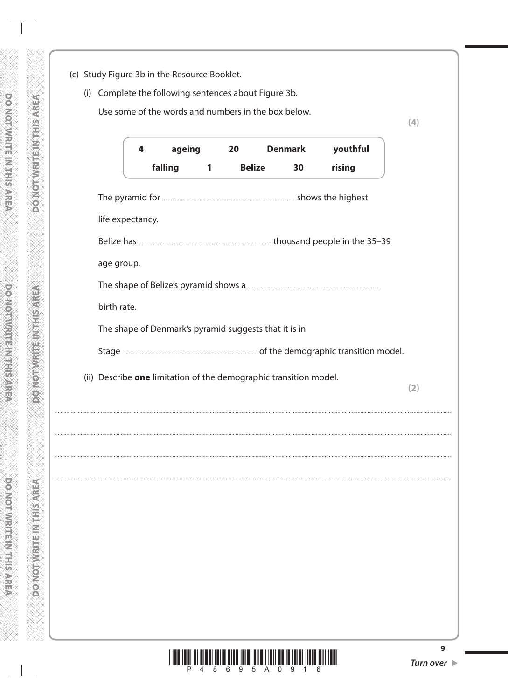- (c) Study Figure 3b in the Resource Booklet.
	- (i) Complete the following sentences about Figure 3b.

Use some of the words and numbers in the box below.

 $(4)$ 

|             | 4                | ageing<br>falling | $\mathbf{1}$ | 20<br><b>Belize</b> | <b>Denmark</b><br>30                                              | youthful<br>rising |  |
|-------------|------------------|-------------------|--------------|---------------------|-------------------------------------------------------------------|--------------------|--|
|             |                  |                   |              |                     |                                                                   |                    |  |
|             | life expectancy. |                   |              |                     |                                                                   |                    |  |
|             |                  |                   |              |                     |                                                                   |                    |  |
| age group.  |                  |                   |              |                     |                                                                   |                    |  |
|             |                  |                   |              |                     |                                                                   |                    |  |
| birth rate. |                  |                   |              |                     |                                                                   |                    |  |
|             |                  |                   |              |                     | The shape of Denmark's pyramid suggests that it is in             |                    |  |
|             |                  |                   |              |                     |                                                                   |                    |  |
|             |                  |                   |              |                     | (ii) Describe one limitation of the demographic transition model. |                    |  |
|             |                  |                   |              |                     |                                                                   |                    |  |
|             |                  |                   |              |                     |                                                                   |                    |  |
|             |                  |                   |              |                     |                                                                   |                    |  |
|             |                  |                   |              |                     |                                                                   |                    |  |
|             |                  |                   |              |                     |                                                                   |                    |  |
|             |                  |                   |              |                     |                                                                   |                    |  |
|             |                  |                   |              |                     |                                                                   |                    |  |
|             |                  |                   |              |                     |                                                                   |                    |  |



 $\overline{9}$ 

DO NOT WRITE IN THIS AREA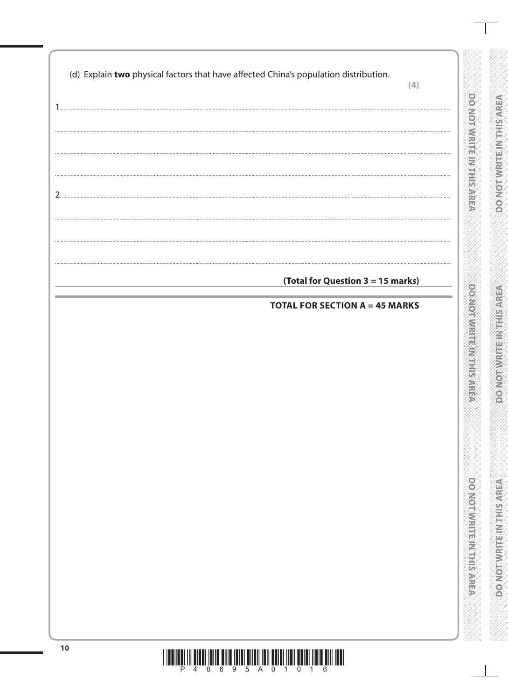| (d) Explain two physical factors that have affected China's population distribution. | (4) |
|--------------------------------------------------------------------------------------|-----|
|                                                                                      |     |
|                                                                                      |     |
|                                                                                      |     |
|                                                                                      |     |
|                                                                                      |     |
| (Total for Question 3 = 15 marks)                                                    |     |
| <b>TOTAL FOR SECTION A = 45 MARKS</b>                                                |     |
|                                                                                      |     |
|                                                                                      |     |
|                                                                                      |     |

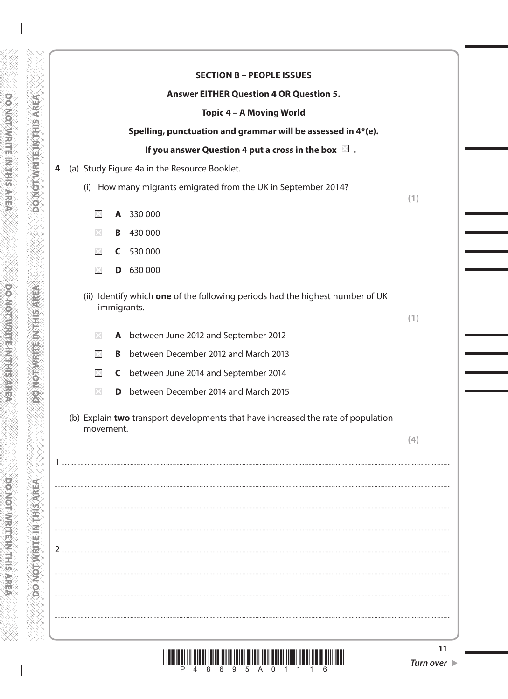|             |   | <b>SECTION B - PEOPLE ISSUES</b>                                                             |     |
|-------------|---|----------------------------------------------------------------------------------------------|-----|
|             |   | <b>Answer EITHER Question 4 OR Question 5.</b>                                               |     |
|             |   | Topic 4 - A Moving World                                                                     |     |
|             |   | Spelling, punctuation and grammar will be assessed in 4*(e).                                 |     |
|             |   | If you answer Question 4 put a cross in the box $\mathbb S$ .                                |     |
|             |   | (a) Study Figure 4a in the Resource Booklet.                                                 |     |
| (i)         |   | How many migrants emigrated from the UK in September 2014?                                   | (1) |
| $\times$    | A | 330 000                                                                                      |     |
| $\boxtimes$ | B | 430 000                                                                                      |     |
| $\boxtimes$ | C | 530 000                                                                                      |     |
| $\boxtimes$ | D | 630 000                                                                                      |     |
|             |   | (ii) Identify which one of the following periods had the highest number of UK<br>immigrants. | (1) |
| $\boxtimes$ | A | between June 2012 and September 2012                                                         |     |
| $\times$    | B | between December 2012 and March 2013                                                         |     |
| $\times$    | C | between June 2014 and September 2014                                                         |     |
| BKL.        |   | <b>D</b> between December 2014 and March 2015                                                |     |
|             |   |                                                                                              |     |
| movement.   |   | (b) Explain two transport developments that have increased the rate of population            |     |
|             |   |                                                                                              | (4) |
|             |   |                                                                                              |     |
|             |   |                                                                                              |     |
|             |   |                                                                                              |     |
|             |   |                                                                                              |     |
|             |   |                                                                                              |     |

**DOMOT WRITE IN THIS AREA** 

**DOMOTIVILITE INTHIS AFEA** 

**BONOTWATEINTHSAREA**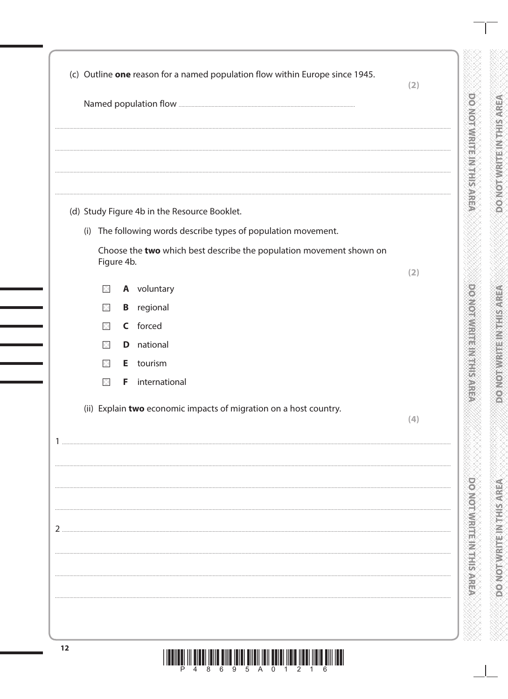|     |            |              | (d) Study Figure 4b in the Resource Booklet.                        |                      |
|-----|------------|--------------|---------------------------------------------------------------------|----------------------|
| (i) |            |              | The following words describe types of population movement.          |                      |
|     | Figure 4b. |              | Choose the two which best describe the population movement shown on |                      |
|     | X          |              | A voluntary                                                         | (2)                  |
|     | ×          | B            | regional                                                            |                      |
|     | X          | $\mathsf{C}$ | forced                                                              |                      |
|     | ×          | D            | national                                                            |                      |
|     | X          | Е            | tourism                                                             |                      |
|     | ×          | F            | international                                                       |                      |
|     |            |              | (ii) Explain two economic impacts of migration on a host country.   | $\blacktriangleleft$ |
|     |            |              |                                                                     |                      |
|     |            |              |                                                                     |                      |
|     |            |              |                                                                     |                      |
|     |            |              |                                                                     |                      |
|     |            |              |                                                                     |                      |
|     |            |              |                                                                     |                      |
|     |            |              |                                                                     |                      |
|     |            |              |                                                                     |                      |

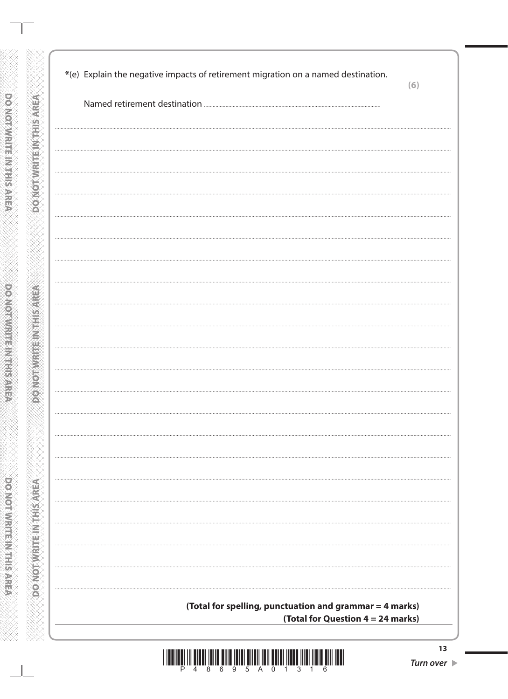|  | *(e) Explain the negative impacts of retirement migration on a named destination. | (6) |
|--|-----------------------------------------------------------------------------------|-----|
|  |                                                                                   |     |
|  |                                                                                   |     |
|  |                                                                                   |     |
|  |                                                                                   |     |
|  |                                                                                   |     |
|  |                                                                                   |     |
|  |                                                                                   |     |
|  |                                                                                   |     |
|  |                                                                                   |     |
|  |                                                                                   |     |
|  |                                                                                   |     |
|  |                                                                                   |     |
|  |                                                                                   |     |
|  |                                                                                   |     |
|  |                                                                                   |     |
|  |                                                                                   |     |
|  |                                                                                   |     |
|  |                                                                                   |     |
|  |                                                                                   |     |
|  |                                                                                   |     |
|  |                                                                                   |     |
|  |                                                                                   |     |
|  |                                                                                   |     |
|  |                                                                                   |     |
|  | (Total for spelling, punctuation and grammar = 4 marks)                           |     |
|  | (Total for Question 4 = 24 marks)                                                 |     |

0000000

∾

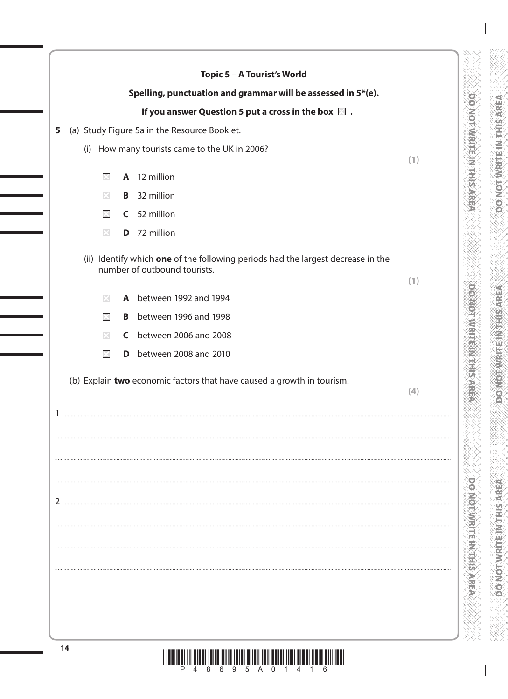| Spelling, punctuation and grammar will be assessed in 5*(e).<br>If you answer Question 5 put a cross in the box $\blacksquare$ .<br>(a) Study Figure 5a in the Resource Booklet.<br>How many tourists came to the UK in 2006?<br>(i) |     |
|--------------------------------------------------------------------------------------------------------------------------------------------------------------------------------------------------------------------------------------|-----|
|                                                                                                                                                                                                                                      |     |
|                                                                                                                                                                                                                                      |     |
|                                                                                                                                                                                                                                      |     |
|                                                                                                                                                                                                                                      |     |
| 12 million<br>A<br>×                                                                                                                                                                                                                 | (1) |
| 32 million<br>B<br>X                                                                                                                                                                                                                 |     |
| 52 million<br>$\mathbb{X}$<br>C                                                                                                                                                                                                      |     |
| 72 million<br>D<br>$\times$                                                                                                                                                                                                          |     |
| (ii) Identify which one of the following periods had the largest decrease in the<br>number of outbound tourists.                                                                                                                     | (1) |
| between 1992 and 1994<br>×<br>A                                                                                                                                                                                                      |     |
| between 1996 and 1998<br>X<br>B                                                                                                                                                                                                      |     |
| between 2006 and 2008<br>$\mathbb{R}$<br>C                                                                                                                                                                                           |     |
| between 2008 and 2010<br>区<br>D                                                                                                                                                                                                      |     |
| (b) Explain two economic factors that have caused a growth in tourism.                                                                                                                                                               | (4) |
|                                                                                                                                                                                                                                      |     |
|                                                                                                                                                                                                                                      |     |

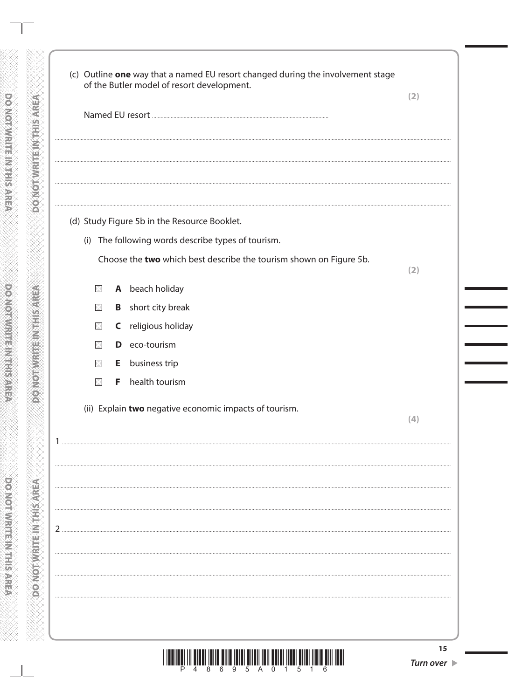|             |              | (c) Outline one way that a named EU resort changed during the involvement stage<br>of the Butler model of resort development. | (2) |
|-------------|--------------|-------------------------------------------------------------------------------------------------------------------------------|-----|
|             |              |                                                                                                                               |     |
|             |              |                                                                                                                               |     |
|             |              |                                                                                                                               |     |
|             |              |                                                                                                                               |     |
|             |              |                                                                                                                               |     |
|             |              | (d) Study Figure 5b in the Resource Booklet.                                                                                  |     |
| (i)         |              | The following words describe types of tourism.                                                                                |     |
|             |              | Choose the two which best describe the tourism shown on Figure 5b.                                                            | (2) |
| $\boxtimes$ |              | A beach holiday                                                                                                               |     |
| $\boxtimes$ |              | <b>B</b> short city break                                                                                                     |     |
| $\boxtimes$ | $\mathsf{C}$ | religious holiday                                                                                                             |     |
| $\times$    | D            | eco-tourism                                                                                                                   |     |
| $>\zeta$    | Е            | business trip                                                                                                                 |     |
|             | F.           | health tourism                                                                                                                |     |
|             |              | (ii) Explain two negative economic impacts of tourism.                                                                        |     |
|             |              |                                                                                                                               | (4) |
|             |              |                                                                                                                               |     |
|             |              |                                                                                                                               |     |
|             |              |                                                                                                                               |     |
|             |              |                                                                                                                               |     |
| 2           |              |                                                                                                                               |     |
|             |              |                                                                                                                               |     |
|             |              |                                                                                                                               |     |
|             |              |                                                                                                                               |     |
|             |              |                                                                                                                               |     |
|             |              |                                                                                                                               |     |
|             |              |                                                                                                                               | 15  |

DONOT WRITEIN THIS AREA

**DOMOTWRITEINTHISAREA** 

**DO NOT WRITE IN THIS AREA** 

WWW.WWW.WWWWWW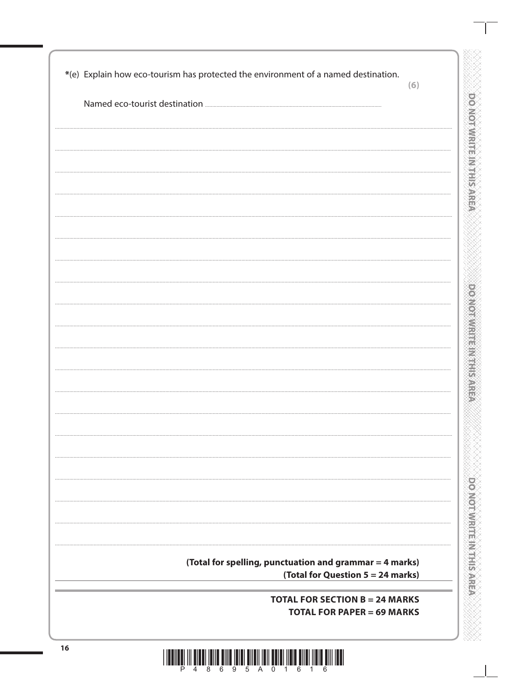| *(e) Explain how eco-tourism has protected the environment of a named destination.           | (6) |
|----------------------------------------------------------------------------------------------|-----|
|                                                                                              |     |
|                                                                                              |     |
|                                                                                              |     |
|                                                                                              |     |
|                                                                                              |     |
|                                                                                              |     |
|                                                                                              |     |
|                                                                                              |     |
|                                                                                              |     |
|                                                                                              |     |
|                                                                                              |     |
|                                                                                              |     |
|                                                                                              |     |
|                                                                                              |     |
|                                                                                              |     |
|                                                                                              |     |
| (Total for spelling, punctuation and grammar = 4 marks)<br>(Total for Question 5 = 24 marks) |     |
| <b>TOTAL FOR SECTION B = 24 MARKS</b><br><b>TOTAL FOR PAPER = 69 MARKS</b>                   |     |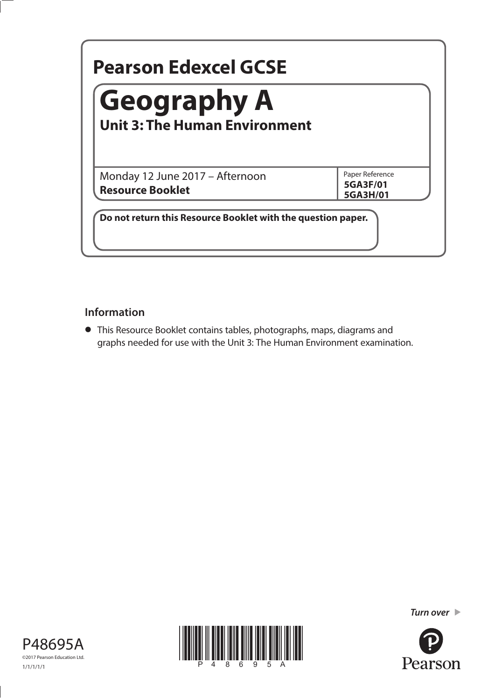| <b>Geography A</b>                                         |                                         |
|------------------------------------------------------------|-----------------------------------------|
| <b>Unit 3: The Human Environment</b>                       |                                         |
|                                                            |                                         |
| Monday 12 June 2017 - Afternoon<br><b>Resource Booklet</b> | Paper Reference<br>5GA3F/01<br>5GA3H/01 |

# **Information**

**•** This Resource Booklet contains tables, photographs, maps, diagrams and graphs needed for use with the Unit 3: The Human Environment examination.





*Turn over Turn over* 

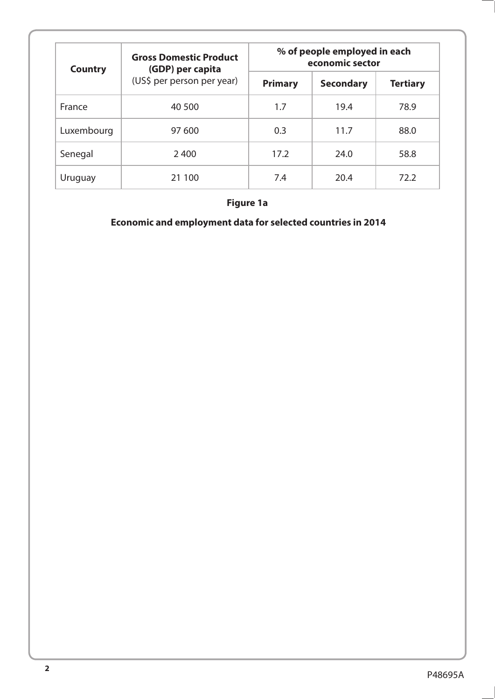| <b>Country</b> | <b>Gross Domestic Product</b><br>(GDP) per capita | % of people employed in each<br>economic sector |                  |      |
|----------------|---------------------------------------------------|-------------------------------------------------|------------------|------|
|                | (US\$ per person per year)                        | <b>Primary</b>                                  | <b>Secondary</b> |      |
| France         | 40 500                                            | 1.7                                             | 19.4             | 78.9 |
| Luxembourg     | 97 600                                            | 0.3                                             | 11.7             | 88.0 |
| Senegal        | 2 4 0 0                                           | 17.2                                            | 24.0             | 58.8 |
| Uruguay        | 21 100                                            | 7.4                                             | 20.4             | 72.2 |

## **Figure 1a**

 **Economic and employment data for selected countries in 2014**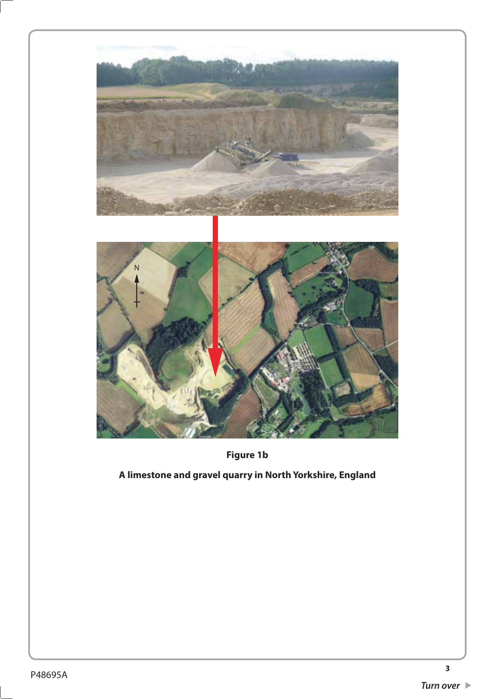



**A limestone and gravel quarry in North Yorkshire, England**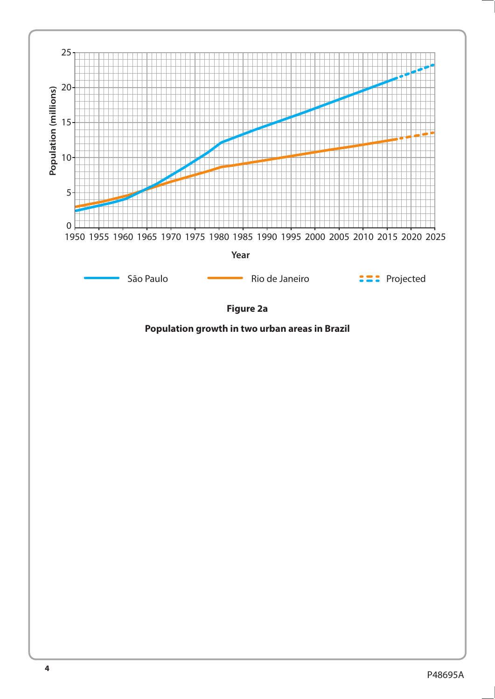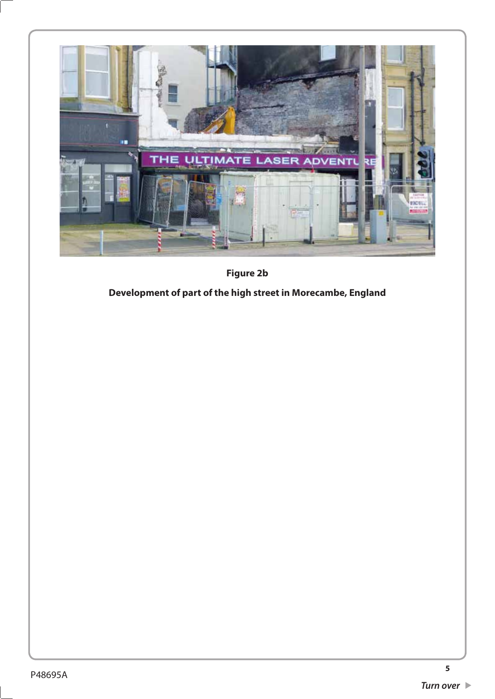

**Figure 2b**

**Development of part of the high street in Morecambe, England**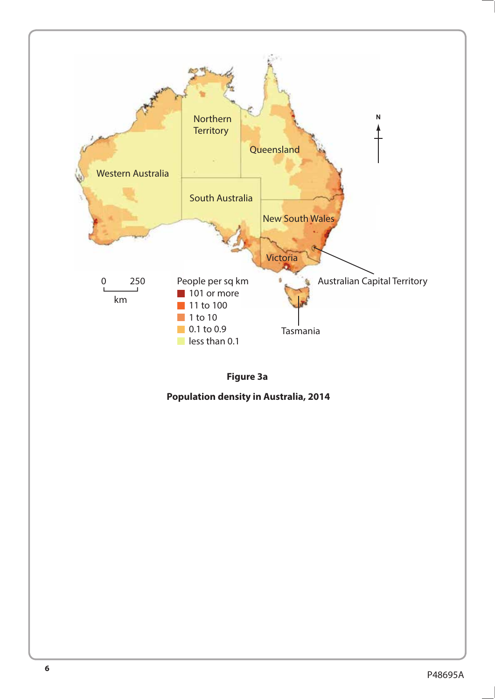



 **Population density in Australia, 2014**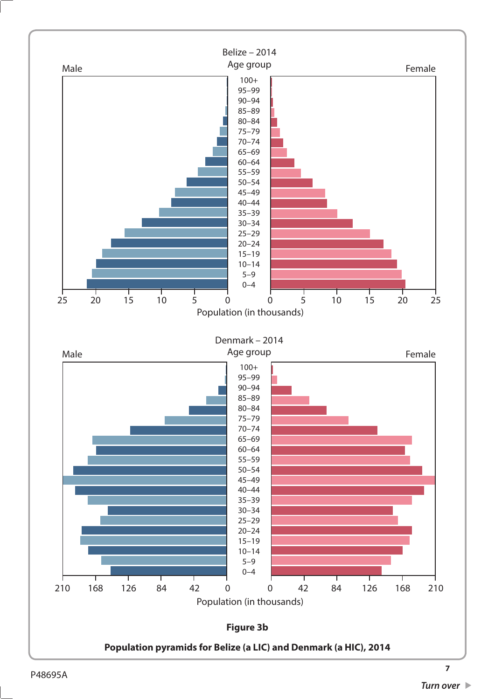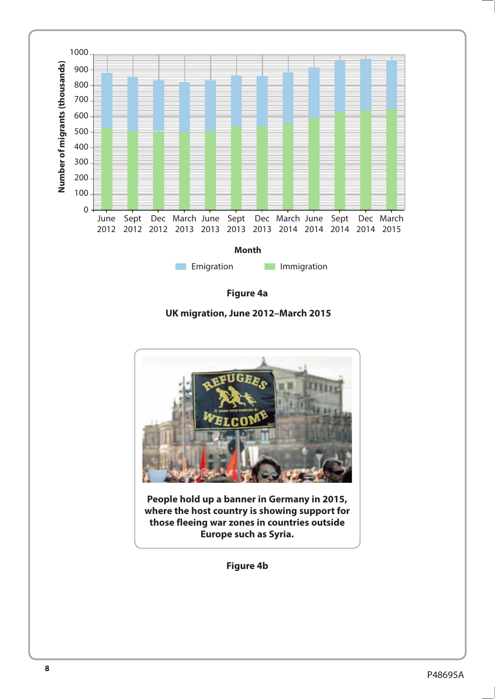

**Figure 4a** 

 **UK migration, June 2012–March 2015**



**People hold up a banner in Germany in 2015, where the host country is showing support for those fleeing war zones in countries outside Europe such as Syria.**

**Figure 4b**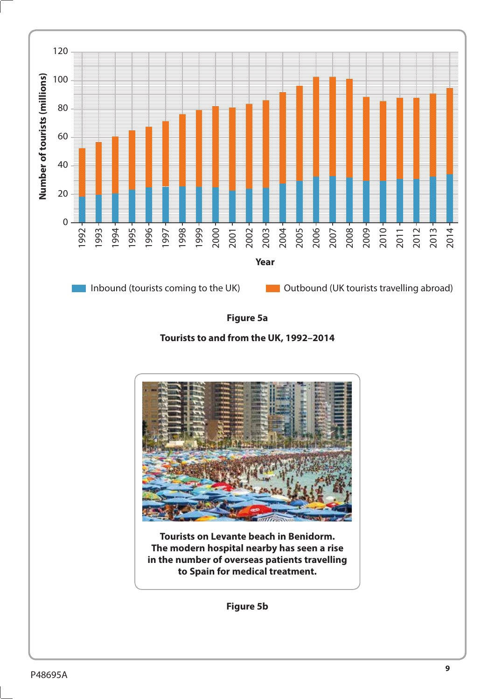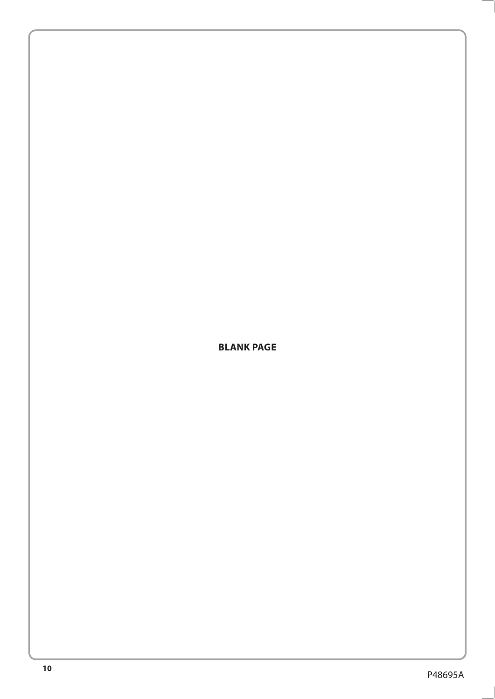**BLANK PAGE**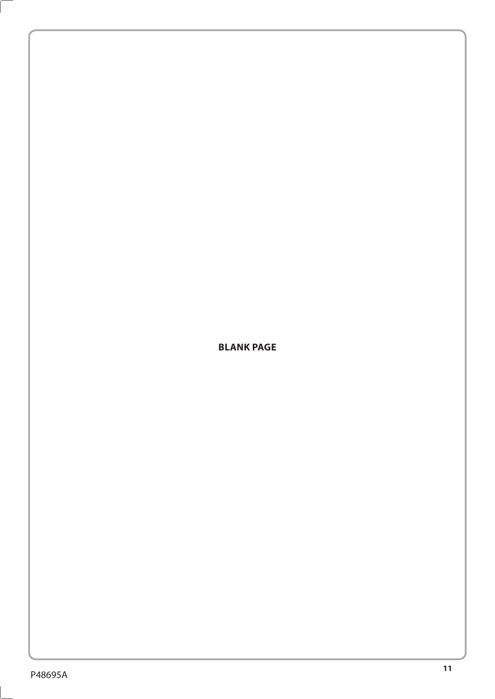**BLANK PAGE**